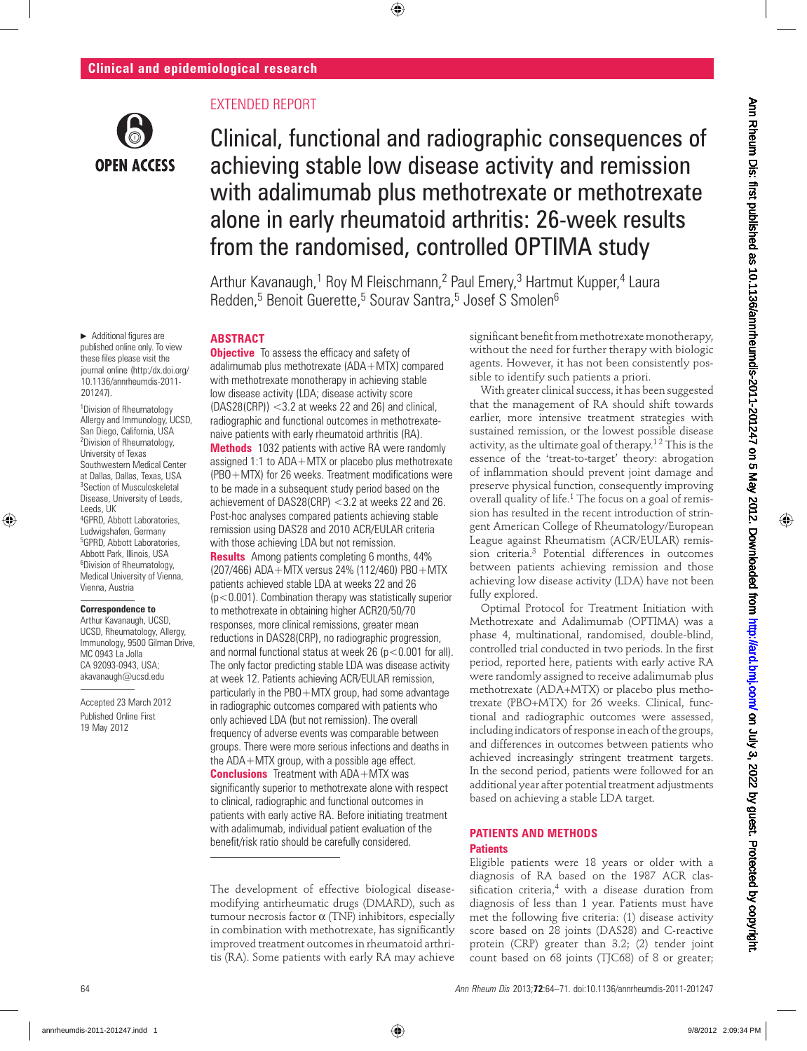

## EXTENDED REPORT

Clinical, functional and radiographic consequences of achieving stable low disease activity and remission with adalimumab plus methotrexate or methotrexate alone in early rheumatoid arthritis: 26-week results from the randomised, controlled OPTIMA study

Arthur Kavanaugh,<sup>1</sup> Roy M Fleischmann,<sup>2</sup> Paul Emery,<sup>3</sup> Hartmut Kupper,<sup>4</sup> Laura Redden,<sup>5</sup> Benoit Guerette,<sup>5</sup> Sourav Santra,<sup>5</sup> Josef S Smolen<sup>6</sup>

### **ABSTRACT**

 $\blacktriangleright$  Additional figures are published online only. To view these files please visit the journal online (http:/dx.doi.org/ 10.1136/annrheumdis-2011- 201247).

1 Division of Rheumatology Allergy and Immunology, UCSD, San Diego, California, USA 2 Division of Rheumatology, University of Texas Southwestern Medical Center at Dallas, Dallas, Texas, USA 3 Section of Musculoskeletal Disease, University of Leeds, Leeds, UK 4 GPRD, Abbott Laboratories, Ludwigshafen, Germany 5 GPRD, Abbott Laboratories, Abbott Park, Illinois, USA 6 Division of Rheumatology, Medical University of Vienna, Vienna, Austria

#### **Correspondence to**

Arthur Kavanaugh, UCSD, UCSD, Rheumatology, Allergy, Immunology, 9500 Gilman Drive, MC 0943 La Jolla CA 92093-0943, USA; akavanaugh@ucsd.edu

Accepted 23 March 2012 Published Online First 19 May 2012

**Objective** To assess the efficacy and safety of adalimumab plus methotrexate (ADA+MTX) compared with methotrexate monotherapy in achieving stable low disease activity (LDA; disease activity score  $(DAS28(CRP)) < 3.2$  at weeks 22 and 26) and clinical, radiographic and functional outcomes in methotrexatenaive patients with early rheumatoid arthritis (RA). **Methods** 1032 patients with active RA were randomly assigned 1:1 to ADA+MTX or placebo plus methotrexate  $(PBO + MTX)$  for 26 weeks. Treatment modifications were to be made in a subsequent study period based on the achievement of DAS28(CRP) <3.2 at weeks 22 and 26. Post-hoc analyses compared patients achieving stable remission using DAS28 and 2010 ACR/EULAR criteria with those achieving LDA but not remission. **Results** Among patients completing 6 months, 44% (207/466) ADA+MTX versus 24% (112/460) PBO+MTX patients achieved stable LDA at weeks 22 and 26 (p<0.001). Combination therapy was statistically superior to methotrexate in obtaining higher ACR20/50/70 responses, more clinical remissions, greater mean reductions in DAS28(CRP), no radiographic progression, and normal functional status at week 26 ( $p$  < 0.001 for all). The only factor predicting stable LDA was disease activity at week 12. Patients achieving ACR/EULAR remission, particularly in the  $PBO+MTX$  group, had some advantage in radiographic outcomes compared with patients who only achieved LDA (but not remission). The overall frequency of adverse events was comparable between groups. There were more serious infections and deaths in the  $ADA+MTX$  group, with a possible age effect. **Conclusions** Treatment with ADA+MTX was significantly superior to methotrexate alone with respect to clinical, radiographic and functional outcomes in patients with early active RA. Before initiating treatment with adalimumab, individual patient evaluation of the benefit/risk ratio should be carefully considered.

The development of effective biological diseasemodifying antirheumatic drugs (DMARD), such as tumour necrosis factor α (TNF) inhibitors, especially in combination with methotrexate, has significantly improved treatment outcomes in rheumatoid arthritis (RA). Some patients with early RA may achieve

significant benefit from methotrexate monotherapy, without the need for further therapy with biologic agents. However, it has not been consistently possible to identify such patients a priori.

With greater clinical success, it has been suggested that the management of RA should shift towards earlier, more intensive treatment strategies with sustained remission, or the lowest possible disease activity, as the ultimate goal of therapy.<sup>12</sup> This is the essence of the 'treat-to-target' theory: abrogation of inflammation should prevent joint damage and preserve physical function, consequently improving overall quality of life.1 The focus on a goal of remission has resulted in the recent introduction of stringent American College of Rheumatology/European League against Rheumatism (ACR/EULAR) remission criteria.3 Potential differences in outcomes between patients achieving remission and those achieving low disease activity (LDA) have not been fully explored.

Optimal Protocol for Treatment Initiation with Methotrexate and Adalimumab (OPTIMA) was a phase 4, multinational, randomised, double-blind, controlled trial conducted in two periods. In the first period, reported here, patients with early active RA were randomly assigned to receive adalimumab plus methotrexate (ADA+MTX) or placebo plus methotrexate (PBO+MTX) for 26 weeks. Clinical, functional and radiographic outcomes were assessed, including indicators of response in each of the groups, and differences in outcomes between patients who achieved increasingly stringent treatment targets. In the second period, patients were followed for an additional year after potential treatment adjustments based on achieving a stable LDA target.

### **PATIENTS AND METHODS Patients**

Eligible patients were 18 years or older with a diagnosis of RA based on the 1987 ACR classification criteria, $4$  with a disease duration from diagnosis of less than 1 year. Patients must have met the following five criteria: (1) disease activity score based on 28 joints (DAS28) and C-reactive protein (CRP) greater than 3.2; (2) tender joint count based on 68 joints (TJC68) of 8 or greater;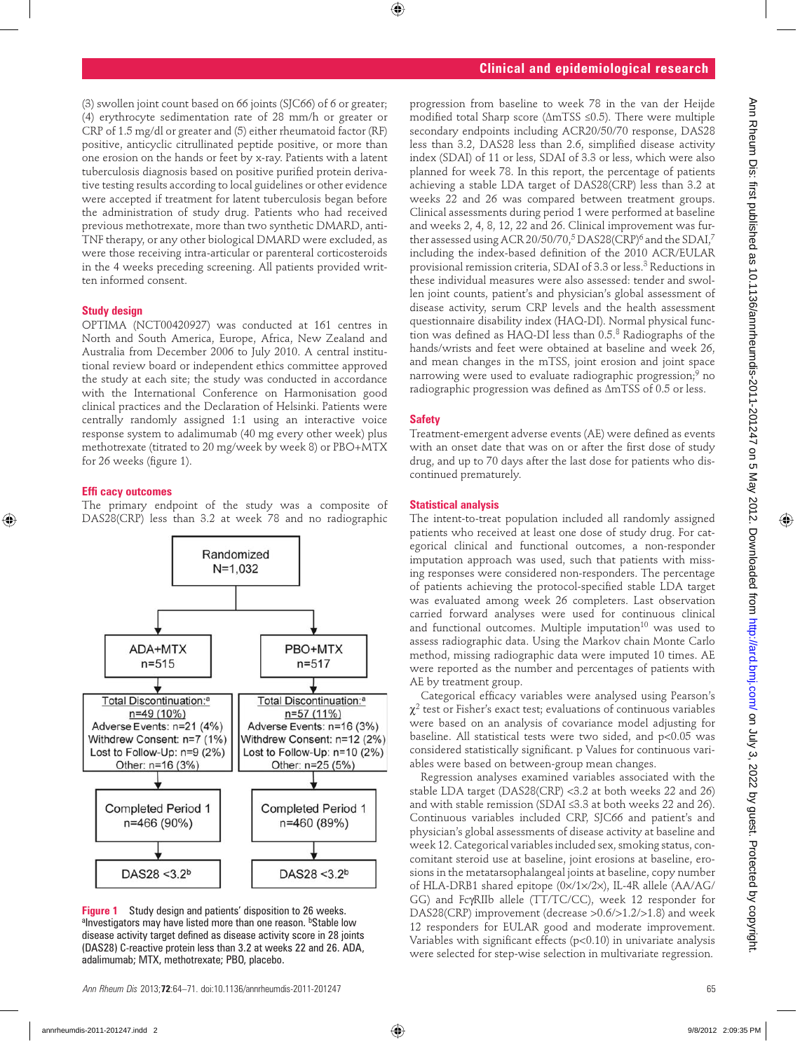(3) swollen joint count based on 66 joints (SJC66) of 6 or greater; (4) erythrocyte sedimentation rate of 28 mm/h or greater or CRP of 1.5 mg/dl or greater and (5) either rheumatoid factor (RF) positive, anticyclic citrullinated peptide positive, or more than one erosion on the hands or feet by x-ray. Patients with a latent tuberculosis diagnosis based on positive purified protein derivative testing results according to local guidelines or other evidence were accepted if treatment for latent tuberculosis began before the administration of study drug. Patients who had received previous methotrexate, more than two synthetic DMARD, anti-TNF therapy, or any other biological DMARD were excluded, as were those receiving intra-articular or parenteral corticosteroids in the 4 weeks preceding screening. All patients provided written informed consent.

#### **Study design**

OPTIMA (NCT00420927) was conducted at 161 centres in North and South America, Europe, Africa, New Zealand and Australia from December 2006 to July 2010. A central institutional review board or independent ethics committee approved the study at each site; the study was conducted in accordance with the International Conference on Harmonisation good clinical practices and the Declaration of Helsinki. Patients were centrally randomly assigned 1:1 using an interactive voice response system to adalimumab (40 mg every other week) plus methotrexate (titrated to 20 mg/week by week 8) or PBO+MTX for 26 weeks (figure 1).

#### **Effi cacy outcomes**

The primary endpoint of the study was a composite of DAS28(CRP) less than 3.2 at week 78 and no radiographic



**Figure 1** Study design and patients' disposition to 26 weeks. Investigators may have listed more than one reason. **bStable low** disease activity target defined as disease activity score in 28 joints (DAS28) C-reactive protein less than 3.2 at weeks 22 and 26. ADA, adalimumab; MTX, methotrexate; PBO, placebo.

progression from baseline to week 78 in the van der Heijde modified total Sharp score ( $\Delta$ mTSS ≤0.5). There were multiple secondary endpoints including ACR20/50/70 response, DAS28 less than 3.2, DAS28 less than 2.6, simplified disease activity index (SDAI) of 11 or less, SDAI of 3.3 or less, which were also planned for week 78. In this report, the percentage of patients achieving a stable LDA target of DAS28(CRP) less than 3.2 at weeks 22 and 26 was compared between treatment groups. Clinical assessments during period 1 were performed at baseline and weeks 2, 4, 8, 12, 22 and 26. Clinical improvement was further assessed using ACR 20/50/70,<sup>5</sup> DAS28(CRP)<sup>6</sup> and the SDAI,<sup>7</sup> including the index-based definition of the 2010 ACR/EULAR provisional remission criteria, SDAI of 3.3 or less.<sup>3</sup> Reductions in these individual measures were also assessed: tender and swollen joint counts, patient's and physician's global assessment of disease activity, serum CRP levels and the health assessment questionnaire disability index (HAQ-DI). Normal physical function was defined as HAQ-DI less than  $0.5$ .<sup>8</sup> Radiographs of the hands/wrists and feet were obtained at baseline and week 26, and mean changes in the mTSS, joint erosion and joint space narrowing were used to evaluate radiographic progression;<sup>9</sup> no radiographic progression was defined as  $\Delta$ mTSS of 0.5 or less.

#### **Safety**

Treatment-emergent adverse events (AE) were defined as events with an onset date that was on or after the first dose of study drug, and up to 70 days after the last dose for patients who discontinued prematurely.

#### **Statistical analysis**

The intent-to-treat population included all randomly assigned patients who received at least one dose of study drug. For categorical clinical and functional outcomes, a non-responder imputation approach was used, such that patients with missing responses were considered non-responders. The percentage of patients achieving the protocol-specified stable LDA target was evaluated among week 26 completers. Last observation carried forward analyses were used for continuous clinical and functional outcomes. Multiple imputation $10$  was used to assess radiographic data. Using the Markov chain Monte Carlo method, missing radiographic data were imputed 10 times. AE were reported as the number and percentages of patients with AE by treatment group.

Categorical efficacy variables were analysed using Pearson's  $\chi^2$  test or Fisher's exact test; evaluations of continuous variables were based on an analysis of covariance model adjusting for baseline. All statistical tests were two sided, and p<0.05 was considered statistically significant. p Values for continuous variables were based on between-group mean changes.

Regression analyses examined variables associated with the stable LDA target (DAS28(CRP) <3.2 at both weeks 22 and 26) and with stable remission (SDAI ≤3.3 at both weeks 22 and 26). Continuous variables included CRP, SJC66 and patient's and physician's global assessments of disease activity at baseline and week 12. Categorical variables included sex, smoking status, concomitant steroid use at baseline, joint erosions at baseline, erosions in the metatarsophalangeal joints at baseline, copy number of HLA-DRB1 shared epitope (0×/1×/2×), IL-4R allele (AA/AG/ GG) and FcγRIIb allele (TT/TC/CC), week 12 responder for DAS28(CRP) improvement (decrease >0.6/>1.2/>1.8) and week 12 responders for EULAR good and moderate improvement. Variables with significant effects ( $p<0.10$ ) in univariate analysis were selected for step-wise selection in multivariate regression.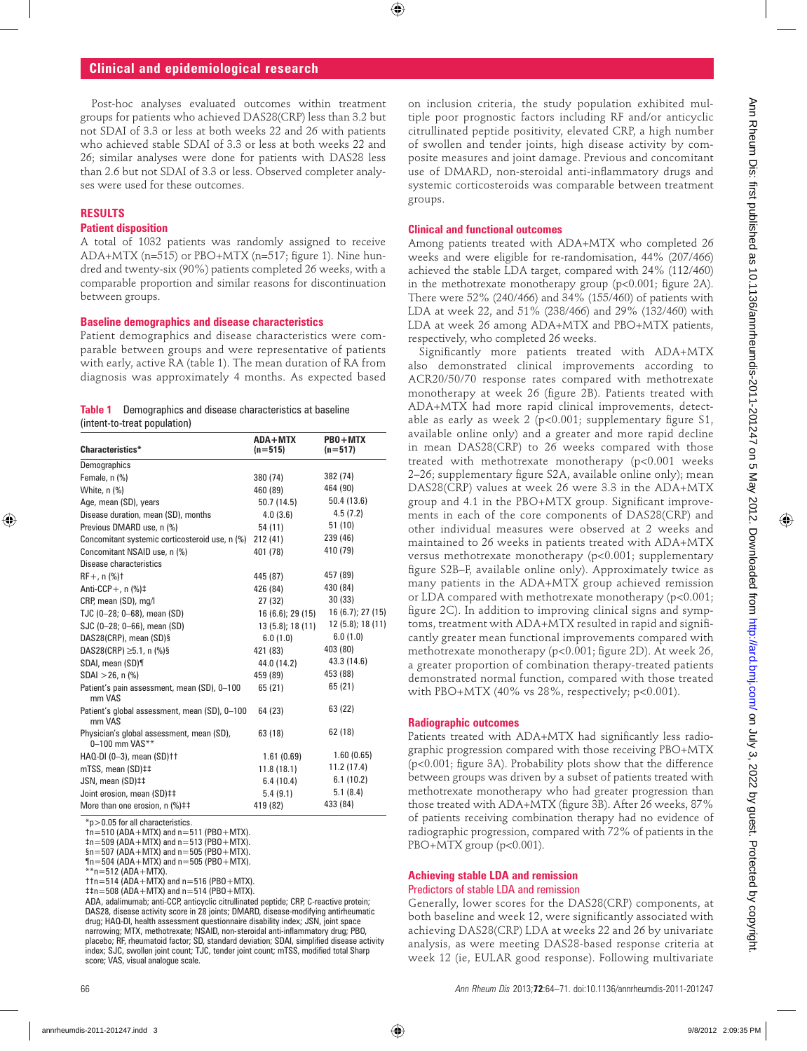Post-hoc analyses evaluated outcomes within treatment groups for patients who achieved DAS28(CRP) less than 3.2 but not SDAI of 3.3 or less at both weeks 22 and 26 with patients who achieved stable SDAI of 3.3 or less at both weeks 22 and 26; similar analyses were done for patients with DAS28 less than 2.6 but not SDAI of 3.3 or less. Observed completer analyses were used for these outcomes.

#### **RESULTS**

### **Patient disposition**

A total of 1032 patients was randomly assigned to receive ADA+MTX ( $n=515$ ) or PBO+MTX ( $n=517$ ; figure 1). Nine hundred and twenty-six (90%) patients completed 26 weeks, with a comparable proportion and similar reasons for discontinuation between groups.

#### **Baseline demographics and disease characteristics**

Patient demographics and disease characteristics were comparable between groups and were representative of patients with early, active RA (table 1). The mean duration of RA from diagnosis was approximately 4 months. As expected based

| Table 1 | Demographics and disease characteristics at baseline |  |  |
|---------|------------------------------------------------------|--|--|
|         | (intent-to-treat population)                         |  |  |

| Characteristics*                                            | $ADA + MTX$<br>$(n=515)$ | $PBO + MTX$<br>$(n=517)$ |
|-------------------------------------------------------------|--------------------------|--------------------------|
| Demographics                                                |                          |                          |
| Female, n (%)                                               | 380 (74)                 | 382 (74)                 |
| White, n (%)                                                | 460 (89)                 | 464 (90)                 |
| Age, mean (SD), years                                       | 50.7 (14.5)              | 50.4 (13.6)              |
| Disease duration, mean (SD), months                         | 4.0(3.6)                 | 4.5(7.2)                 |
| Previous DMARD use, n (%)                                   | 54 (11)                  | 51(10)                   |
| Concomitant systemic corticosteroid use, n (%)              | 212 (41)                 | 239 (46)                 |
| Concomitant NSAID use, n (%)                                | 401 (78)                 | 410 (79)                 |
| Disease characteristics                                     |                          |                          |
| $RF +$ , n $(\%)$ †                                         | 445 (87)                 | 457 (89)                 |
| Anti-CCP + , $n$ (%) $\ddagger$                             | 426 (84)                 | 430 (84)                 |
| CRP, mean (SD), mg/l                                        | 27 (32)                  | 30 (33)                  |
| TJC (0-28; 0-68), mean (SD)                                 | $16(6.6)$ ; 29 $(15)$    | 16 (6.7); 27 (15)        |
| SJC (0-28; 0-66), mean (SD)                                 | 13 (5.8); 18 (11)        | 12 (5.8); 18 (11)        |
| DAS28(CRP), mean (SD)§                                      | 6.0(1.0)                 | 6.0(1.0)                 |
| DAS28(CRP) $\geq$ 5.1, n (%)§                               | 421 (83)                 | 403 (80)                 |
| SDAI, mean (SD)¶                                            | 44.0 (14.2)              | 43.3 (14.6)              |
| $SDAI > 26$ , n $(\%)$                                      | 459 (89)                 | 453 (88)                 |
| Patient's pain assessment, mean (SD), 0-100<br>mm VAS       | 65 (21)                  | 65 (21)                  |
| Patient's global assessment, mean (SD), 0-100<br>mm VAS     | 64 (23)                  | 63 (22)                  |
| Physician's global assessment, mean (SD),<br>0-100 mm VAS** | 63 (18)                  | 62 (18)                  |
| $HAQ-DI$ (0-3), mean (SD) $\uparrow\uparrow$                | 1.61(0.69)               | 1.60(0.65)               |
| mTSS, mean (SD)##                                           | 11.8(18.1)               | 11.2(17.4)               |
| JSN, mean (SD)##                                            | 6.4(10.4)                | 6.1(10.2)                |
| Joint erosion, mean (SD)##                                  | 5.4(9.1)                 | 5.1(8.4)                 |
| More than one erosion, n (%)##                              | 419 (82)                 | 433 (84)                 |

 $*p > 0.05$  for all characteristics.

 $tn = 510$  (ADA+MTX) and  $n = 511$  (PBO+MTX).

‡n=509 (ADA+MTX) and n=513 (PBO+MTX).

 $$n=507$  (ADA+MTX) and  $n=505$  (PBO+MTX).

 $In=504 (ADA+MTX)$  and  $n=505 (PBO+MTX)$ .

 $***n=512$  (ADA + MTX).

 $\text{ttn}=514 \text{ (ADA}+\text{MTX)}$  and n=516 (PBO+MTX). ‡‡n=508 (ADA+MTX) and n=514 (PBO+MTX).

ADA, adalimumab; anti-CCP, anticyclic citrullinated peptide; CRP, C-reactive protein; DAS28, disease activity score in 28 joints; DMARD, disease-modifying antirheumatic drug; HAQ-DI, health assessment questionnaire disability index; JSN, joint space narrowing; MTX, methotrexate; NSAID, non-steroidal anti-inflammatory drug; PBO, placebo; RF, rheumatoid factor; SD, standard deviation; SDAI, simplified disease activity index; SJC, swollen joint count; TJC, tender joint count; mTSS, modified total Sharp score; VAS, visual analogue scale.

on inclusion criteria, the study population exhibited multiple poor prognostic factors including RF and/or anticyclic citrullinated peptide positivity, elevated CRP, a high number of swollen and tender joints, high disease activity by composite measures and joint damage. Previous and concomitant use of DMARD, non-steroidal anti-inflammatory drugs and systemic corticosteroids was comparable between treatment groups.

#### **Clinical and functional outcomes**

Among patients treated with ADA+MTX who completed 26 weeks and were eligible for re-randomisation, 44% (207/466) achieved the stable LDA target, compared with 24% (112/460) in the methotrexate monotherapy group  $(p<0.001$ ; figure 2A). There were 52% (240/466) and 34% (155/460) of patients with LDA at week 22, and 51% (238/466) and 29% (132/460) with LDA at week 26 among ADA+MTX and PBO+MTX patients, respectively, who completed 26 weeks.

Significantly more patients treated with ADA+MTX also demonstrated clinical improvements according to ACR20/50/70 response rates compared with methotrexate monotherapy at week 26 (figure 2B). Patients treated with ADA+MTX had more rapid clinical improvements, detectable as early as week 2 ( $p<0.001$ ; supplementary figure S1, available online only) and a greater and more rapid decline in mean DAS28(CRP) to 26 weeks compared with those treated with methotrexate monotherapy (p<0.001 weeks  $2-26$ ; supplementary figure S2A, available online only); mean DAS28(CRP) values at week 26 were 3.3 in the ADA+MTX group and 4.1 in the PBO+MTX group. Significant improvements in each of the core components of DAS28(CRP) and other individual measures were observed at 2 weeks and maintained to 26 weeks in patients treated with ADA+MTX versus methotrexate monotherapy (p<0.001; supplementary figure S2B-F, available online only). Approximately twice as many patients in the ADA+MTX group achieved remission or LDA compared with methotrexate monotherapy (p<0.001; figure 2C). In addition to improving clinical signs and symptoms, treatment with ADA+MTX resulted in rapid and significantly greater mean functional improvements compared with methotrexate monotherapy ( $p<0.001$ ; figure 2D). At week 26, a greater proportion of combination therapy-treated patients demonstrated normal function, compared with those treated with PBO+MTX (40% vs 28%, respectively; p<0.001).

#### **Radiographic outcomes**

Patients treated with ADA+MTX had significantly less radiographic progression compared with those receiving PBO+MTX  $(p<0.001$ ; figure 3A). Probability plots show that the difference between groups was driven by a subset of patients treated with methotrexate monotherapy who had greater progression than those treated with ADA+MTX (figure 3B). After 26 weeks, 87% of patients receiving combination therapy had no evidence of radiographic progression, compared with 72% of patients in the  $PBO+MTX$  group ( $p<0.001$ ).

#### **Achieving stable LDA and remission**

#### Predictors of stable LDA and remission

Generally, lower scores for the DAS28(CRP) components, at both baseline and week 12, were significantly associated with achieving DAS28(CRP) LDA at weeks 22 and 26 by univariate analysis, as were meeting DAS28-based response criteria at week 12 (ie, EULAR good response). Following multivariate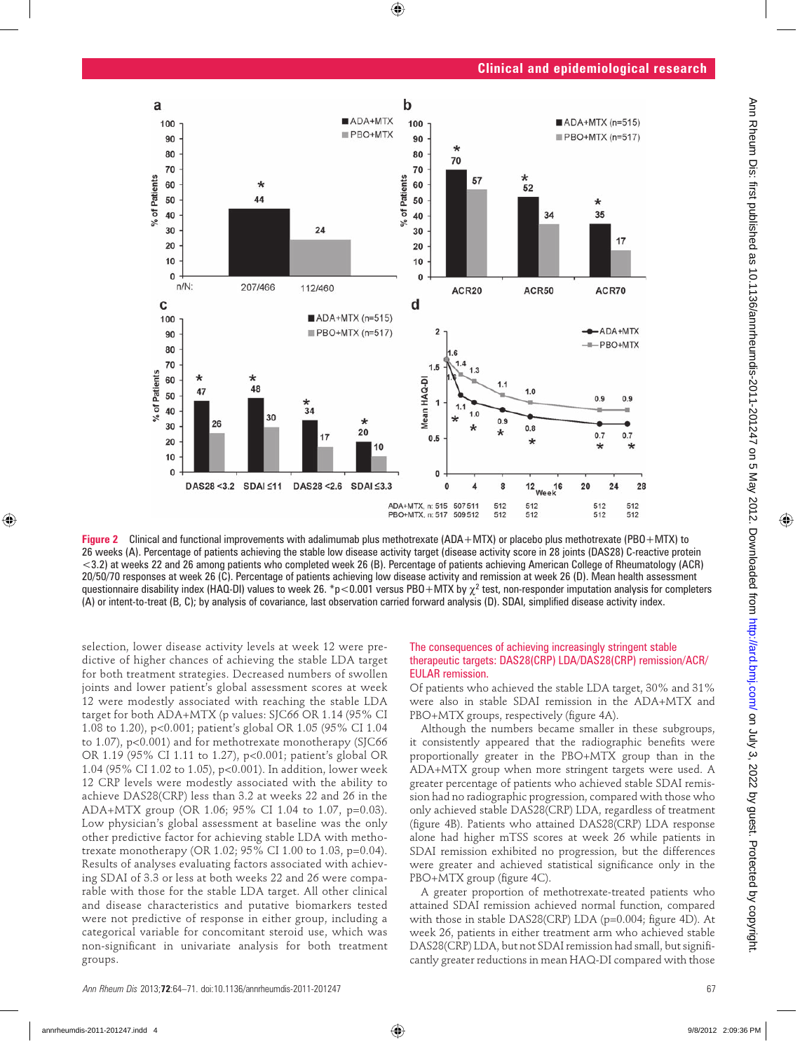

**Figure 2** Clinical and functional improvements with adalimumab plus methotrexate (ADA+MTX) or placebo plus methotrexate (PBO+MTX) to 26 weeks (A). Percentage of patients achieving the stable low disease activity target (disease activity score in 28 joints (DAS28) C-reactive protein <3.2) at weeks 22 and 26 among patients who completed week 26 (B). Percentage of patients achieving American College of Rheumatology (ACR) 20/50/70 responses at week 26 (C). Percentage of patients achieving low disease activity and remission at week 26 (D). Mean health assessment questionnaire disability index (HAQ-DI) values to week 26. \*p<0.001 versus PBO+MTX by  $\chi^2$  test, non-responder imputation analysis for completers (A) or intent-to-treat (B, C); by analysis of covariance, last observation carried forward analysis (D). SDAI, simplified disease activity index.

selection, lower disease activity levels at week 12 were predictive of higher chances of achieving the stable LDA target for both treatment strategies. Decreased numbers of swollen joints and lower patient's global assessment scores at week 12 were modestly associated with reaching the stable LDA target for both ADA+MTX (p values: SJC66 OR 1.14 (95% CI 1.08 to 1.20), p<0.001; patient's global OR 1.05 (95% CI 1.04 to 1.07), p<0.001) and for methotrexate monotherapy (SJC66 OR 1.19 (95% CI 1.11 to 1.27), p<0.001; patient's global OR 1.04 (95% CI 1.02 to 1.05), p<0.001). In addition, lower week 12 CRP levels were modestly associated with the ability to achieve DAS28(CRP) less than 3.2 at weeks 22 and 26 in the ADA+MTX group (OR 1.06; 95% CI 1.04 to 1.07, p=0.03). Low physician's global assessment at baseline was the only other predictive factor for achieving stable LDA with methotrexate monotherapy (OR 1.02; 95% CI 1.00 to 1.03, p=0.04). Results of analyses evaluating factors associated with achieving SDAI of 3.3 or less at both weeks 22 and 26 were comparable with those for the stable LDA target. All other clinical and disease characteristics and putative biomarkers tested were not predictive of response in either group, including a categorical variable for concomitant steroid use, which was non-significant in univariate analysis for both treatment groups.

### The consequences of achieving increasingly stringent stable therapeutic targets: DAS28(CRP) LDA/DAS28(CRP) remission/ACR/ EULAR remission.

Of patients who achieved the stable LDA target, 30% and 31% were also in stable SDAI remission in the ADA+MTX and PBO+MTX groups, respectively (figure 4A).

Although the numbers became smaller in these subgroups, it consistently appeared that the radiographic benefits were proportionally greater in the PBO+MTX group than in the ADA+MTX group when more stringent targets were used. A greater percentage of patients who achieved stable SDAI remission had no radiographic progression, compared with those who only achieved stable DAS28(CRP) LDA, regardless of treatment (figure 4B). Patients who attained DAS28(CRP) LDA response alone had higher mTSS scores at week 26 while patients in SDAI remission exhibited no progression, but the differences were greater and achieved statistical significance only in the PBO+MTX group (figure 4C).

A greater proportion of methotrexate-treated patients who attained SDAI remission achieved normal function, compared with those in stable DAS28(CRP) LDA (p=0.004; figure 4D). At week 26, patients in either treatment arm who achieved stable DAS28(CRP) LDA, but not SDAI remission had small, but significantly greater reductions in mean HAQ-DI compared with those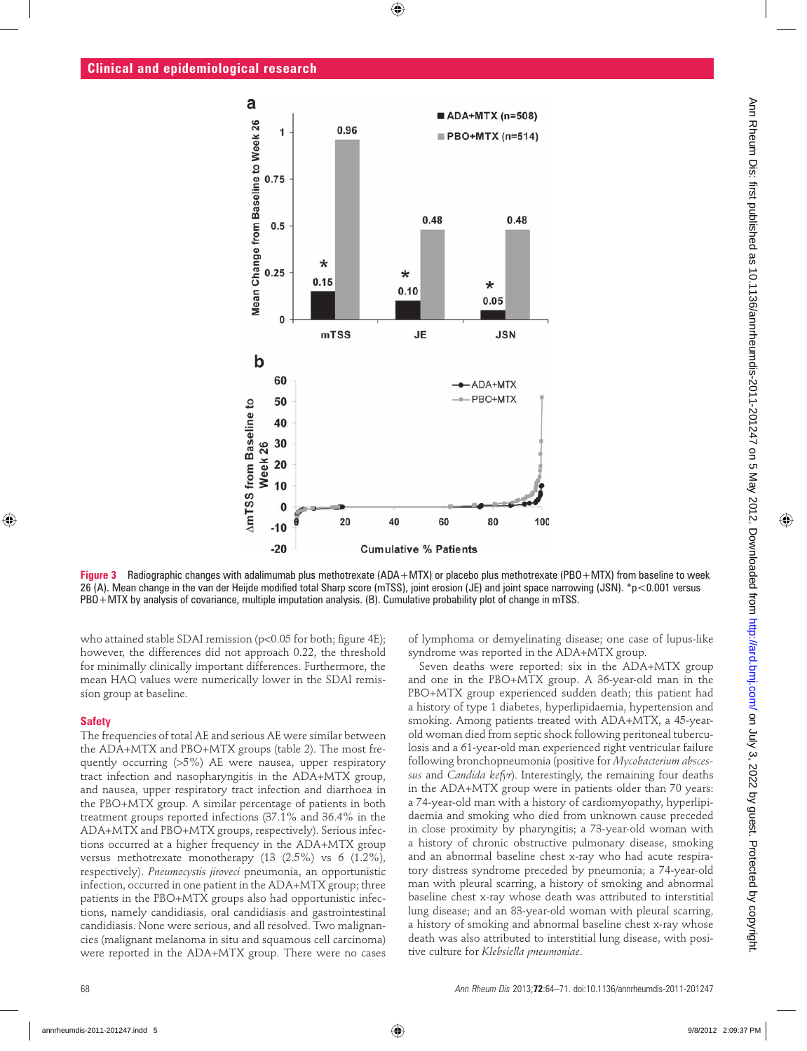

**Figure 3** Radiographic changes with adalimumab plus methotrexate (ADA+MTX) or placebo plus methotrexate (PBO+MTX) from baseline to week 26 (A). Mean change in the van der Heijde modified total Sharp score (mTSS), joint erosion (JE) and joint space narrowing (JSN). \*p<0.001 versus PBO+MTX by analysis of covariance, multiple imputation analysis. (B). Cumulative probability plot of change in mTSS.

who attained stable SDAI remission ( $p<0.05$  for both; figure 4E); however, the differences did not approach 0.22, the threshold for minimally clinically important differences. Furthermore, the mean HAQ values were numerically lower in the SDAI remission group at baseline.

#### **Safety**

The frequencies of total AE and serious AE were similar between the ADA+MTX and PBO+MTX groups (table 2). The most frequently occurring (>5%) AE were nausea, upper respiratory tract infection and nasopharyngitis in the ADA+MTX group, and nausea, upper respiratory tract infection and diarrhoea in the PBO+MTX group. A similar percentage of patients in both treatment groups reported infections (37.1% and 36.4% in the ADA+MTX and PBO+MTX groups, respectively). Serious infections occurred at a higher frequency in the ADA+MTX group versus methotrexate monotherapy (13 (2.5%) vs 6 (1.2%), respectively). *Pneumocystis jiroveci* pneumonia, an opportunistic infection, occurred in one patient in the ADA+MTX group; three patients in the PBO+MTX groups also had opportunistic infections, namely candidiasis, oral candidiasis and gastrointestinal candidiasis. None were serious, and all resolved. Two malignancies (malignant melanoma in situ and squamous cell carcinoma) were reported in the ADA+MTX group. There were no cases

of lymphoma or demyelinating disease; one case of lupus-like syndrome was reported in the ADA+MTX group.

Seven deaths were reported: six in the ADA+MTX group and one in the PBO+MTX group. A 36-year-old man in the PBO+MTX group experienced sudden death; this patient had a history of type 1 diabetes, hyperlipidaemia, hypertension and smoking. Among patients treated with ADA+MTX, a 45-yearold woman died from septic shock following peritoneal tuberculosis and a 61-year-old man experienced right ventricular failure following bronchopneumonia (positive for *Mycobacterium abscessus* and *Candida kefyr*). Interestingly, the remaining four deaths in the ADA+MTX group were in patients older than 70 years: a 74-year-old man with a history of cardiomyopathy, hyperlipidaemia and smoking who died from unknown cause preceded in close proximity by pharyngitis; a 73-year-old woman with a history of chronic obstructive pulmonary disease, smoking and an abnormal baseline chest x-ray who had acute respiratory distress syndrome preceded by pneumonia; a 74-year-old man with pleural scarring, a history of smoking and abnormal baseline chest x-ray whose death was attributed to interstitial lung disease; and an 83-year-old woman with pleural scarring, a history of smoking and abnormal baseline chest x-ray whose death was also attributed to interstitial lung disease, with positive culture for *Klebsiella pneumoniae*.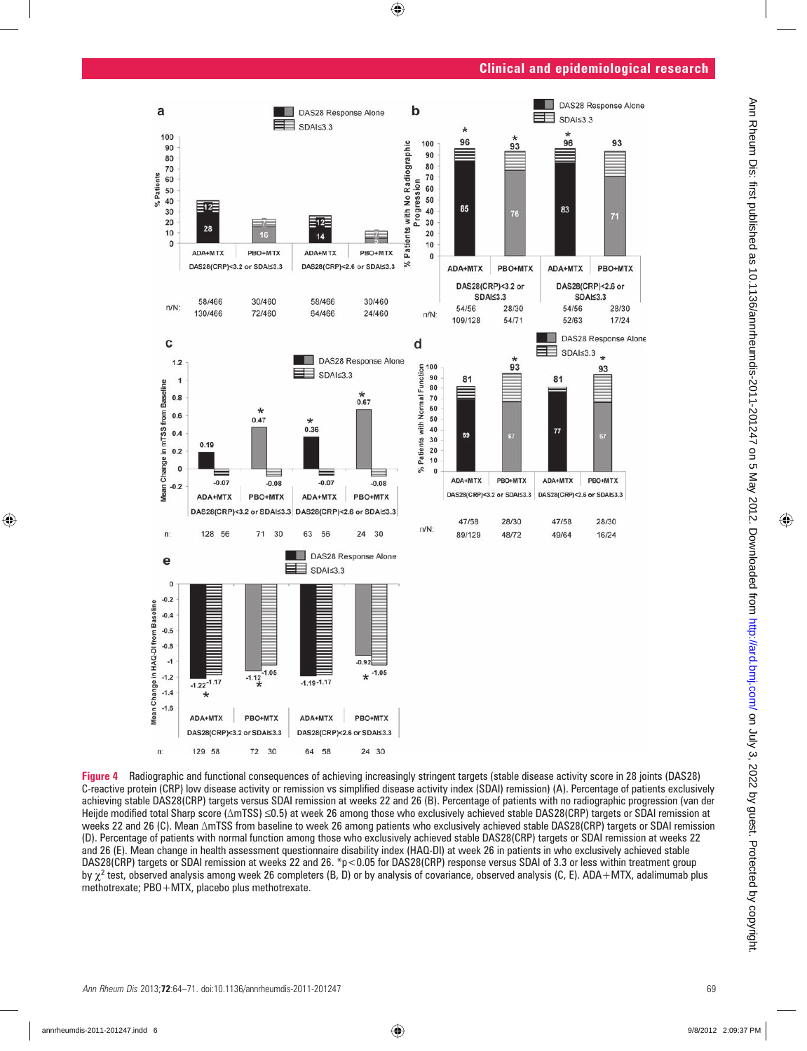## **Clinical and epidemiological research**



**Figure 4** Radiographic and functional consequences of achieving increasingly stringent targets (stable disease activity score in 28 joints (DAS28) C-reactive protein (CRP) low disease activity or remission vs simplified disease activity index (SDAI) remission) (A). Percentage of patients exclusively achieving stable DAS28(CRP) targets versus SDAI remission at weeks 22 and 26 (B). Percentage of patients with no radiographic progression (van der Heijde modified total Sharp score (ΔmTSS) ≤0.5) at week 26 among those who exclusively achieved stable DAS28(CRP) targets or SDAI remission at weeks 22 and 26 (C). Mean ΔmTSS from baseline to week 26 among patients who exclusively achieved stable DAS28(CRP) targets or SDAI remission (D). Percentage of patients with normal function among those who exclusively achieved stable DAS28(CRP) targets or SDAI remission at weeks 22 and 26 (E). Mean change in health assessment questionnaire disability index (HAQ-DI) at week 26 in patients in who exclusively achieved stable DAS28(CRP) targets or SDAI remission at weeks 22 and 26. \*p<0.05 for DAS28(CRP) response versus SDAI of 3.3 or less within treatment group by  $\gamma^2$  test, observed analysis among week 26 completers (B, D) or by analysis of covariance, observed analysis (C, E). ADA + MTX, adalimumab plus methotrexate; PBO+MTX, placebo plus methotrexate.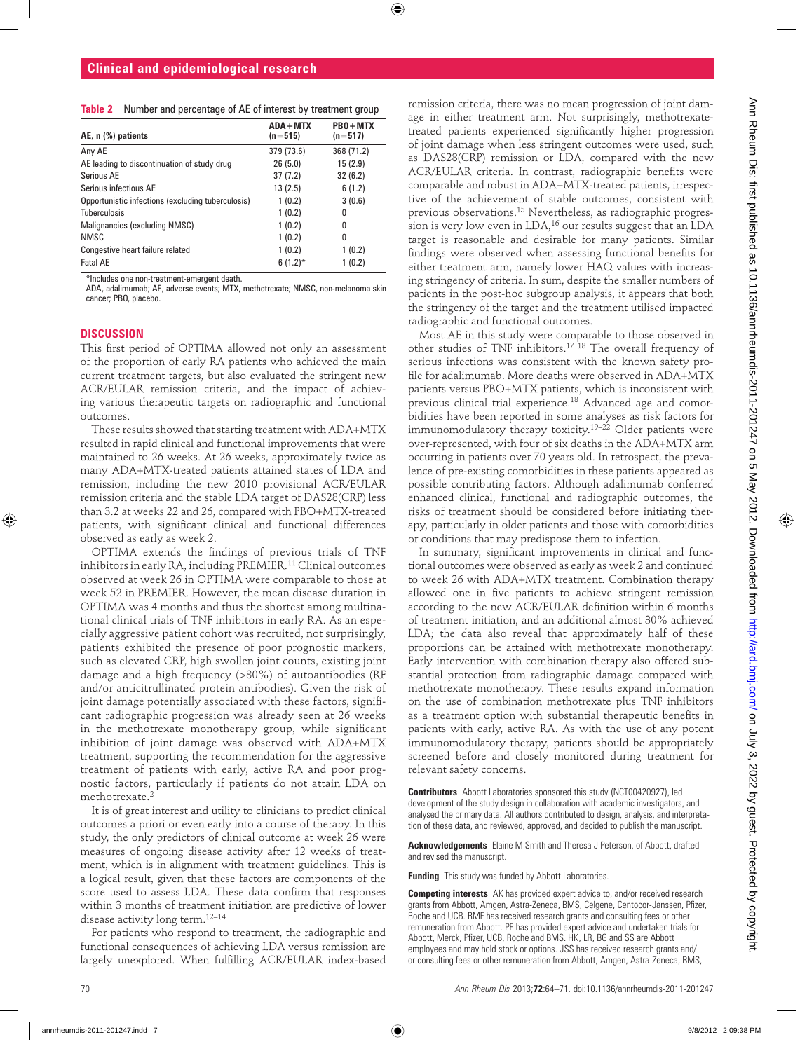|  | <b>Table 2</b> Number and percentage of AE of interest by treatment group |  |
|--|---------------------------------------------------------------------------|--|
|--|---------------------------------------------------------------------------|--|

| AE, $n$ $%$ patients                              | $ADA + MTX$<br>$(n=515)$ | $PB0+MTX$<br>$(n=517)$ |
|---------------------------------------------------|--------------------------|------------------------|
| Any AE                                            | 379 (73.6)               | 368 (71.2)             |
| AE leading to discontinuation of study drug       | 26(5.0)                  | 15(2.9)                |
| Serious AE                                        | 37(7.2)                  | 32(6.2)                |
| Serious infectious AE                             | 13(2.5)                  | 6(1.2)                 |
| Opportunistic infections (excluding tuberculosis) | 1(0.2)                   | 3(0.6)                 |
| <b>Tuberculosis</b>                               | 1(0.2)                   | ŋ                      |
| Malignancies (excluding NMSC)                     | 1(0.2)                   | ŋ                      |
| <b>NMSC</b>                                       | 1(0.2)                   | 0                      |
| Congestive heart failure related                  | 1(0.2)                   | 1(0.2)                 |
| <b>Fatal AE</b>                                   | $6(1.2)$ *               | 1(0.2)                 |

\*Includes one non-treatment-emergent death.

ADA, adalimumab; AE, adverse events; MTX, methotrexate; NMSC, non-melanoma skin cancer; PBO, placebo.

#### **DISCUSSION**

This first period of OPTIMA allowed not only an assessment of the proportion of early RA patients who achieved the main current treatment targets, but also evaluated the stringent new ACR/EULAR remission criteria, and the impact of achieving various therapeutic targets on radiographic and functional outcomes.

These results showed that starting treatment with ADA+MTX resulted in rapid clinical and functional improvements that were maintained to 26 weeks. At 26 weeks, approximately twice as many ADA+MTX-treated patients attained states of LDA and remission, including the new 2010 provisional ACR/EULAR remission criteria and the stable LDA target of DAS28(CRP) less than 3.2 at weeks 22 and 26, compared with PBO+MTX-treated patients, with significant clinical and functional differences observed as early as week 2.

OPTIMA extends the findings of previous trials of TNF inhibitors in early RA, including PREMIER.<sup>11</sup> Clinical outcomes observed at week 26 in OPTIMA were comparable to those at week 52 in PREMIER. However, the mean disease duration in OPTIMA was 4 months and thus the shortest among multinational clinical trials of TNF inhibitors in early RA. As an especially aggressive patient cohort was recruited, not surprisingly, patients exhibited the presence of poor prognostic markers, such as elevated CRP, high swollen joint counts, existing joint damage and a high frequency (>80%) of autoantibodies (RF and/or anticitrullinated protein antibodies). Given the risk of joint damage potentially associated with these factors, significant radiographic progression was already seen at 26 weeks in the methotrexate monotherapy group, while significant inhibition of joint damage was observed with ADA+MTX treatment, supporting the recommendation for the aggressive treatment of patients with early, active RA and poor prognostic factors, particularly if patients do not attain LDA on methotrexate.<sup>2</sup>

It is of great interest and utility to clinicians to predict clinical outcomes a priori or even early into a course of therapy. In this study, the only predictors of clinical outcome at week 26 were measures of ongoing disease activity after 12 weeks of treatment, which is in alignment with treatment guidelines. This is a logical result, given that these factors are components of the score used to assess LDA. These data confirm that responses within 3 months of treatment initiation are predictive of lower disease activity long term.12–14

For patients who respond to treatment, the radiographic and functional consequences of achieving LDA versus remission are largely unexplored. When fulfilling ACR/EULAR index-based remission criteria, there was no mean progression of joint damage in either treatment arm. Not surprisingly, methotrexatetreated patients experienced significantly higher progression of joint damage when less stringent outcomes were used, such as DAS28(CRP) remission or LDA, compared with the new ACR/EULAR criteria. In contrast, radiographic benefits were comparable and robust in ADA+MTX-treated patients, irrespective of the achievement of stable outcomes, consistent with previous observations.15 Nevertheless, as radiographic progression is very low even in LDA,<sup>16</sup> our results suggest that an LDA target is reasonable and desirable for many patients. Similar findings were observed when assessing functional benefits for either treatment arm, namely lower HAQ values with increasing stringency of criteria. In sum, despite the smaller numbers of patients in the post-hoc subgroup analysis, it appears that both the stringency of the target and the treatment utilised impacted radiographic and functional outcomes.

Most AE in this study were comparable to those observed in other studies of TNF inhibitors.<sup>17</sup><sup>18</sup> The overall frequency of serious infections was consistent with the known safety profile for adalimumab. More deaths were observed in ADA+MTX patients versus PBO+MTX patients, which is inconsistent with previous clinical trial experience.18 Advanced age and comorbidities have been reported in some analyses as risk factors for immunomodulatory therapy toxicity.<sup>19–22</sup> Older patients were over-represented, with four of six deaths in the ADA+MTX arm occurring in patients over 70 years old. In retrospect, the prevalence of pre-existing comorbidities in these patients appeared as possible contributing factors. Although adalimumab conferred enhanced clinical, functional and radiographic outcomes, the risks of treatment should be considered before initiating therapy, particularly in older patients and those with comorbidities or conditions that may predispose them to infection.

In summary, significant improvements in clinical and functional outcomes were observed as early as week 2 and continued to week 26 with ADA+MTX treatment. Combination therapy allowed one in five patients to achieve stringent remission according to the new ACR/EULAR definition within 6 months of treatment initiation, and an additional almost 30% achieved LDA; the data also reveal that approximately half of these proportions can be attained with methotrexate monotherapy. Early intervention with combination therapy also offered substantial protection from radiographic damage compared with methotrexate monotherapy. These results expand information on the use of combination methotrexate plus TNF inhibitors as a treatment option with substantial therapeutic benefits in patients with early, active RA. As with the use of any potent immunomodulatory therapy, patients should be appropriately screened before and closely monitored during treatment for relevant safety concerns.

**Contributors** Abbott Laboratories sponsored this study (NCT00420927), led development of the study design in collaboration with academic investigators, and analysed the primary data. All authors contributed to design, analysis, and interpretation of these data, and reviewed, approved, and decided to publish the manuscript.

**Acknowledgements** Elaine M Smith and Theresa J Peterson, of Abbott, drafted and revised the manuscript.

**Funding** This study was funded by Abbott Laboratories.

**Competing interests** AK has provided expert advice to, and/or received research grants from Abbott, Amgen, Astra-Zeneca, BMS, Celgene, Centocor-Janssen, Pfizer, Roche and UCB. RMF has received research grants and consulting fees or other remuneration from Abbott. PE has provided expert advice and undertaken trials for Abbott, Merck, Pfizer, UCB, Roche and BMS. HK, LR, BG and SS are Abbott employees and may hold stock or options. JSS has received research grants and/ or consulting fees or other remuneration from Abbott, Amgen, Astra-Zeneca, BMS,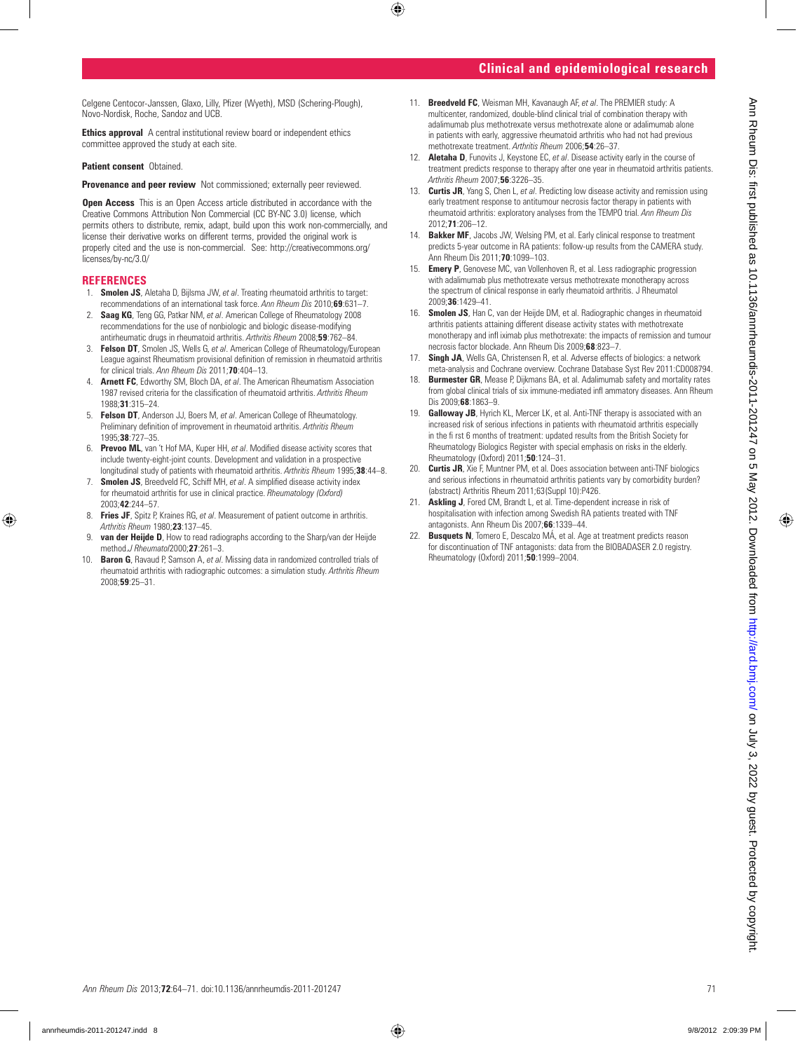Celgene Centocor-Janssen, Glaxo, Lilly, Pfizer (Wyeth), MSD (Schering-Plough), Novo-Nordisk, Roche, Sandoz and UCB.

**Ethics approval** A central institutional review board or independent ethics committee approved the study at each site.

#### **Patient consent** Obtained.

**Provenance and peer review** Not commissioned; externally peer reviewed.

**Open Access** This is an Open Access article distributed in accordance with the Creative Commons Attribution Non Commercial (CC BY-NC 3.0) license, which permits others to distribute, remix, adapt, build upon this work non-commercially, and license their derivative works on different terms, provided the original work is properly cited and the use is non-commercial. See: http://creativecommons.org/ licenses/by-nc/3.0/

#### **REFERENCES**

- 1. **Smolen JS**, Aletaha D, Bijlsma JW, *et al*. Treating rheumatoid arthritis to target: recommendations of an international task force. *Ann Rheum Dis* 2010;**69**:631–7.
- 2. **Saag KG**, Teng GG, Patkar NM, *et al*. American College of Rheumatology 2008 recommendations for the use of nonbiologic and biologic disease-modifying antirheumatic drugs in rheumatoid arthritis. *Arthritis Rheum* 2008;**59**:762–84.
- 3. **Felson DT**, Smolen JS, Wells G, *et al*. American College of Rheumatology/European League against Rheumatism provisional definition of remission in rheumatoid arthritis for clinical trials. *Ann Rheum Dis* 2011;**70**:404–13.
- 4. **Arnett FC**, Edworthy SM, Bloch DA, *et al*. The American Rheumatism Association 1987 revised criteria for the classification of rheumatoid arthritis. Arthritis Rheum 1988;**31**:315–24.
- 5. **Felson DT**, Anderson JJ, Boers M, *et al*. American College of Rheumatology. Preliminary definition of improvement in rheumatoid arthritis. Arthritis Rheum 1995;**38**:727–35.
- 6. **Prevoo ML**, van 't Hof MA, Kuper HH, et al. Modified disease activity scores that include twenty-eight-joint counts. Development and validation in a prospective longitudinal study of patients with rheumatoid arthritis. *Arthritis Rheum* 1995;**38**:44–8.
- 7. **Smolen JS**, Breedveld FC, Schiff MH, et al. A simplified disease activity index for rheumatoid arthritis for use in clinical practice. *Rheumatology (Oxford)* 2003;**42**:244–57.
- 8. **Fries JF**, Spitz P, Kraines RG, *et al*. Measurement of patient outcome in arthritis. *Arthritis Rheum* 1980;**23**:137–45.
- 9. **van der Heijde D**, How to read radiographs according to the Sharp/van der Heijde method.*J Rheumatol*2000;**27**:261–3.
- 10. **Baron G**, Ravaud P, Samson A, *et al*. Missing data in randomized controlled trials of rheumatoid arthritis with radiographic outcomes: a simulation study. *Arthritis Rheum* 2008;**59**:25–31.
- 11. **Breedveld FC**, Weisman MH, Kavanaugh AF, *et al*. The PREMIER study: A multicenter, randomized, double-blind clinical trial of combination therapy with adalimumab plus methotrexate versus methotrexate alone or adalimumab alone in patients with early, aggressive rheumatoid arthritis who had not had previous methotrexate treatment. *Arthritis Rheum* 2006;**54**:26–37.
- 12. **Aletaha D**, Funovits J, Keystone EC, *et al*. Disease activity early in the course of treatment predicts response to therapy after one year in rheumatoid arthritis patients. *Arthritis Rheum* 2007;**56**:3226–35.
- 13. **Curtis JR**, Yang S, Chen L, *et al*. Predicting low disease activity and remission using early treatment response to antitumour necrosis factor therapy in patients with rheumatoid arthritis: exploratory analyses from the TEMPO trial. *Ann Rheum Dis* 2012;**71**:206–12.
- 14. **Bakker MF**, Jacobs JW, Welsing PM, et al. Early clinical response to treatment predicts 5-year outcome in RA patients: follow-up results from the CAMERA study. Ann Rheum Dis 2011;**70**:1099–103.
- 15. **Emery P**, Genovese MC, van Vollenhoven R, et al. Less radiographic progression with adalimumab plus methotrexate versus methotrexate monotherapy across the spectrum of clinical response in early rheumatoid arthritis. J Rheumatol 2009;**36**:1429–41.
- 16. **Smolen JS**, Han C, van der Heijde DM, et al. Radiographic changes in rheumatoid arthritis patients attaining different disease activity states with methotrexate monotherapy and infl iximab plus methotrexate: the impacts of remission and tumour necrosis factor blockade. Ann Rheum Dis 2009;**68**:823–7.
- 17. **Singh JA**, Wells GA, Christensen R, et al. Adverse effects of biologics: a network meta-analysis and Cochrane overview. Cochrane Database Syst Rev 2011:CD008794.
- 18. **Burmester GR**, Mease P, Dijkmans BA, et al. Adalimumab safety and mortality rates from global clinical trials of six immune-mediated infl ammatory diseases. Ann Rheum Dis 2009;**68**:1863–9.
- 19. **Galloway JB**, Hyrich KL, Mercer LK, et al. Anti-TNF therapy is associated with an increased risk of serious infections in patients with rheumatoid arthritis especially in the fi rst 6 months of treatment: updated results from the British Society for Rheumatology Biologics Register with special emphasis on risks in the elderly. Rheumatology (Oxford) 2011;**50**:124–31.
- 20. **Curtis JR**, Xie F, Muntner PM, et al. Does association between anti-TNF biologics and serious infections in rheumatoid arthritis patients vary by comorbidity burden? (abstract) Arthritis Rheum 2011;63(Suppl 10):P426.
- 21. **Askling J**, Fored CM, Brandt L, et al. Time-dependent increase in risk of hospitalisation with infection among Swedish RA patients treated with TNF antagonists. Ann Rheum Dis 2007;**66**:1339–44.
- 22. **Busquets N**, Tomero E, Descalzo MÁ, et al. Age at treatment predicts reason for discontinuation of TNF antagonists: data from the BIOBADASER 2.0 registry. Rheumatology (Oxford) 2011;**50**:1999–2004.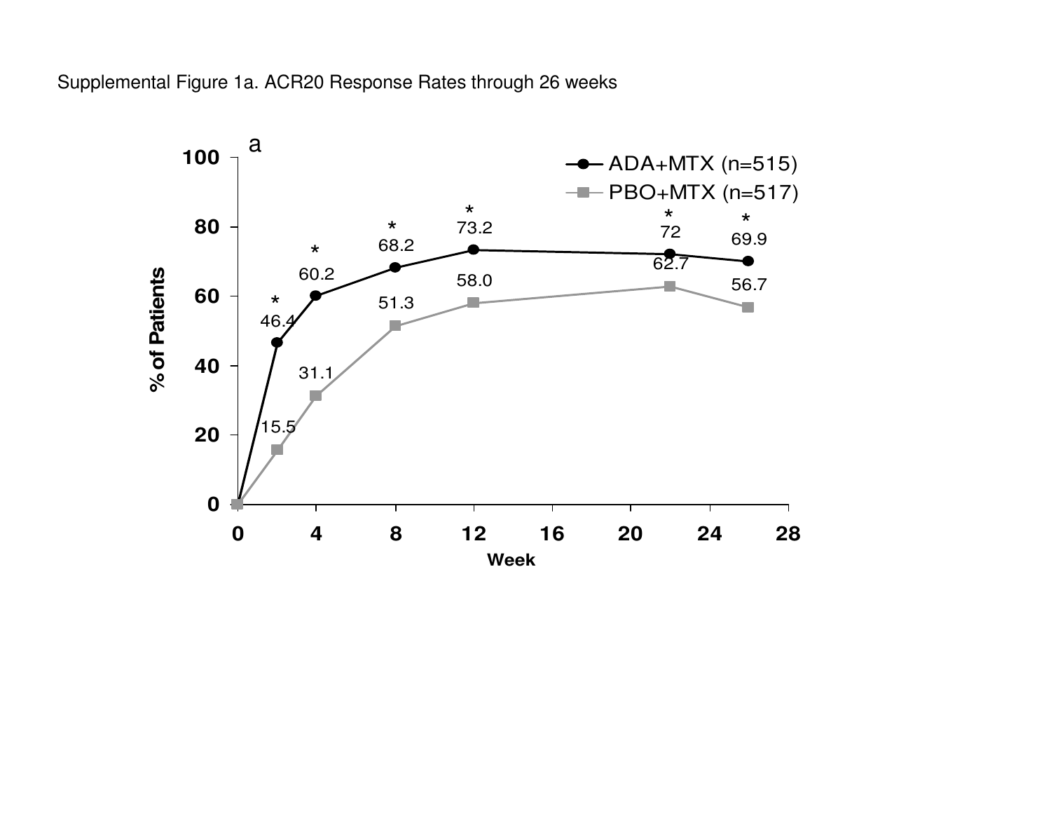Supplemental Figure 1a. ACR20 Response Rates through 26 weeks

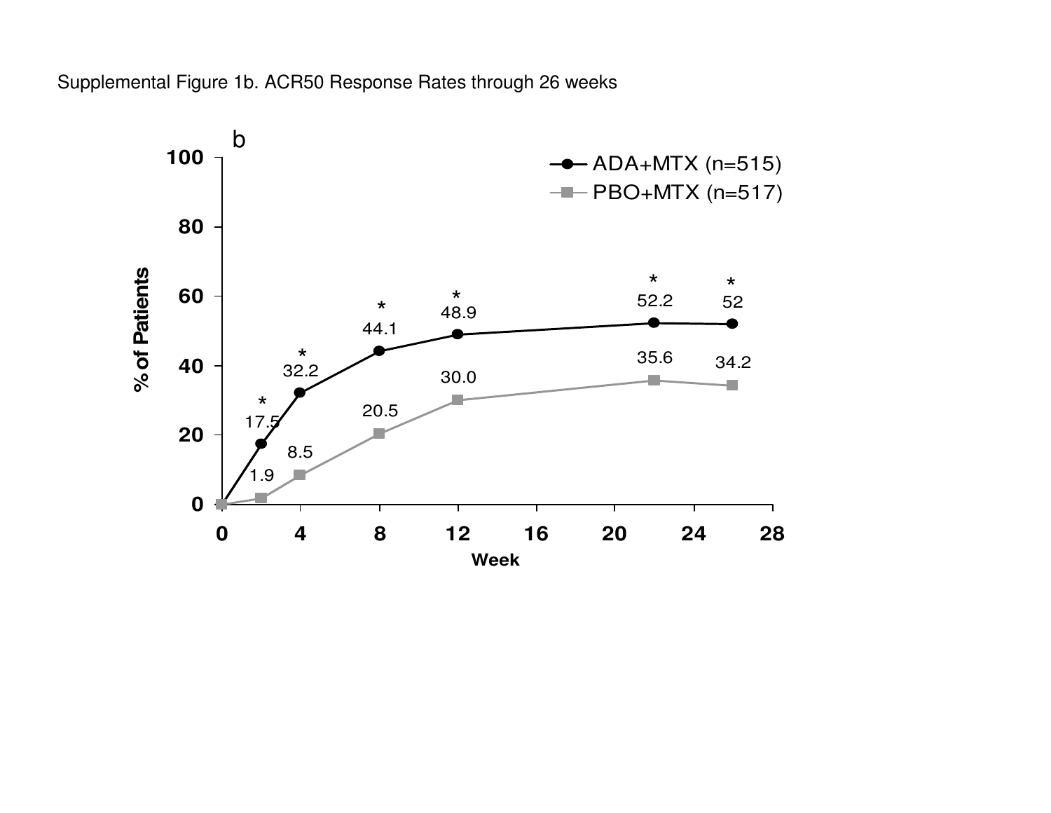Supplemental Figure 1b. ACR50 Response Rates through 26 weeks

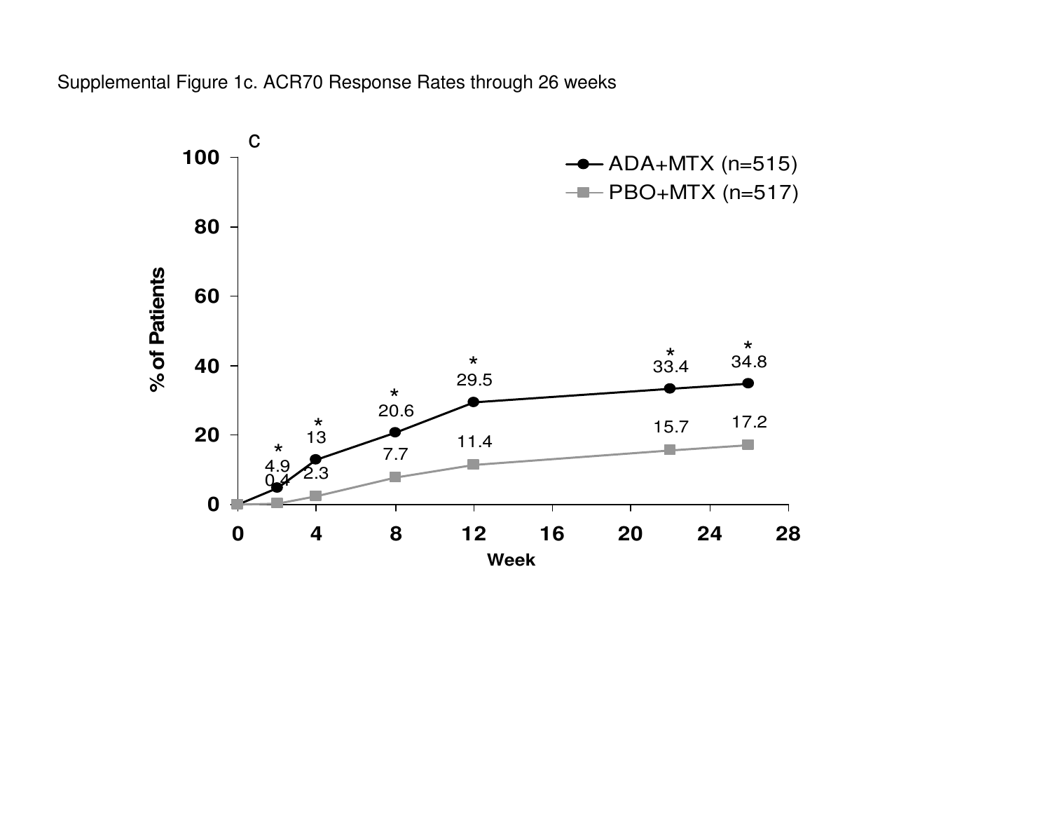Supplemental Figure 1c. ACR70 Response Rates through 26 weeks

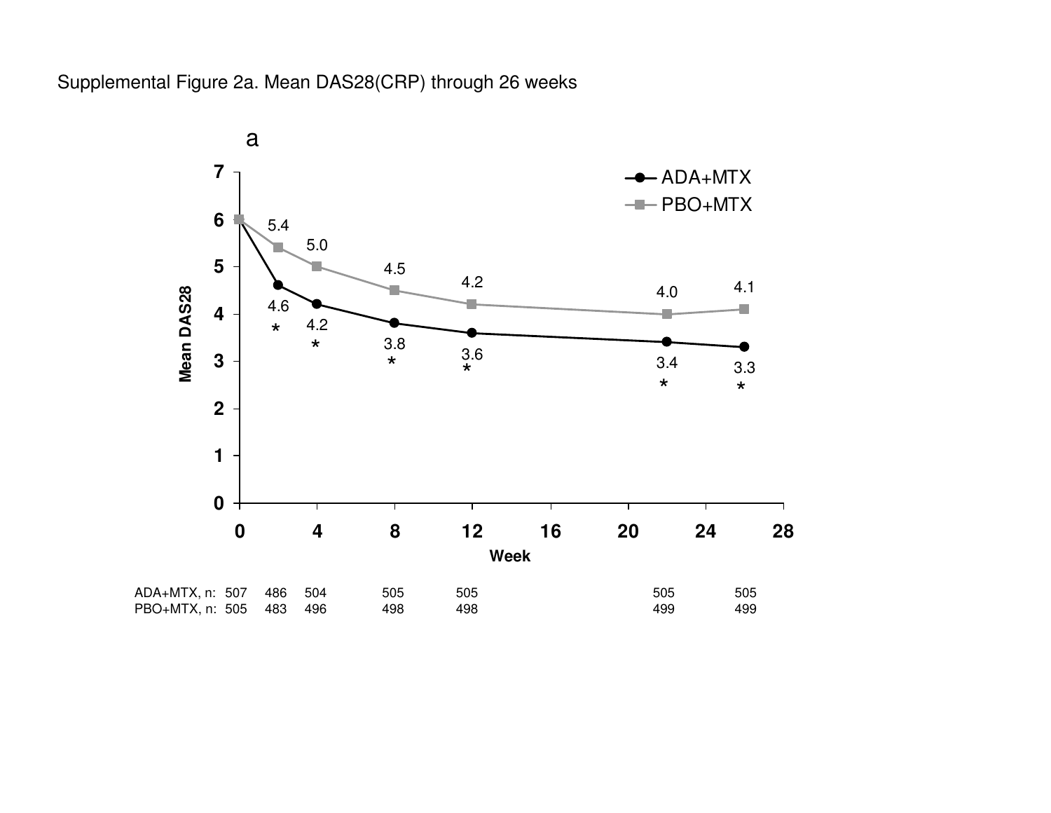# Supplemental Figure 2a. Mean DAS28(CRP) through 26 weeks

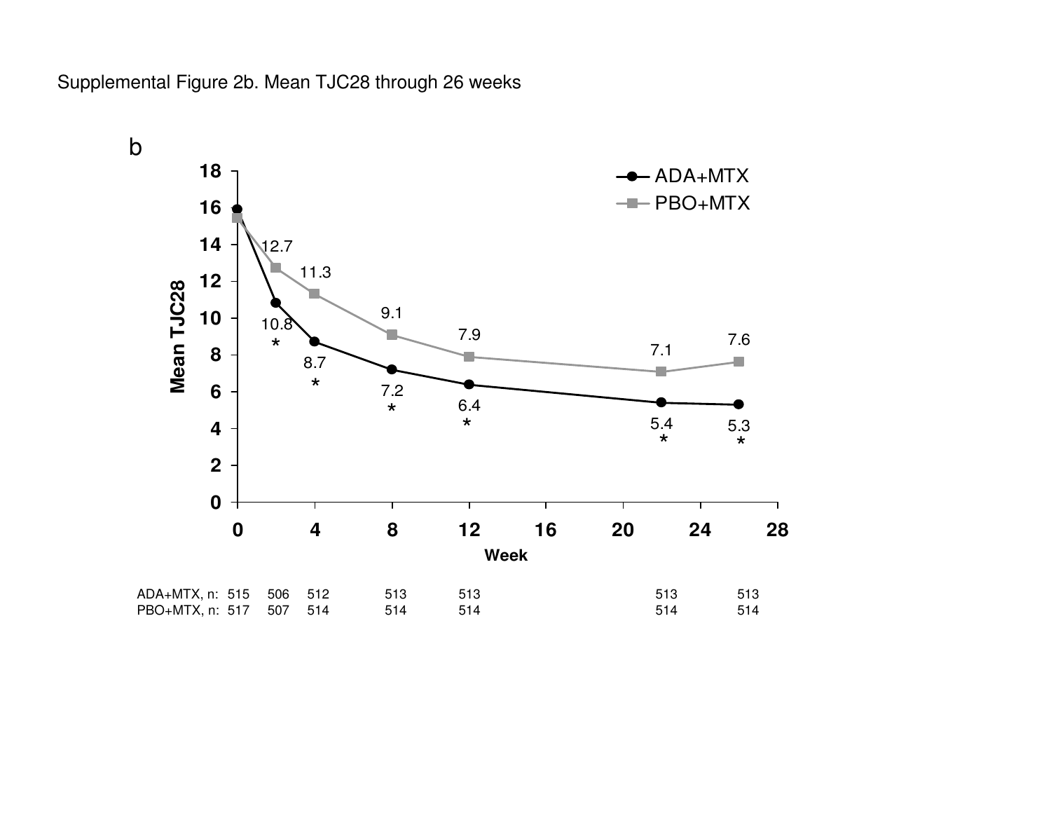# Supplemental Figure 2b. Mean TJC28 through 26 weeks

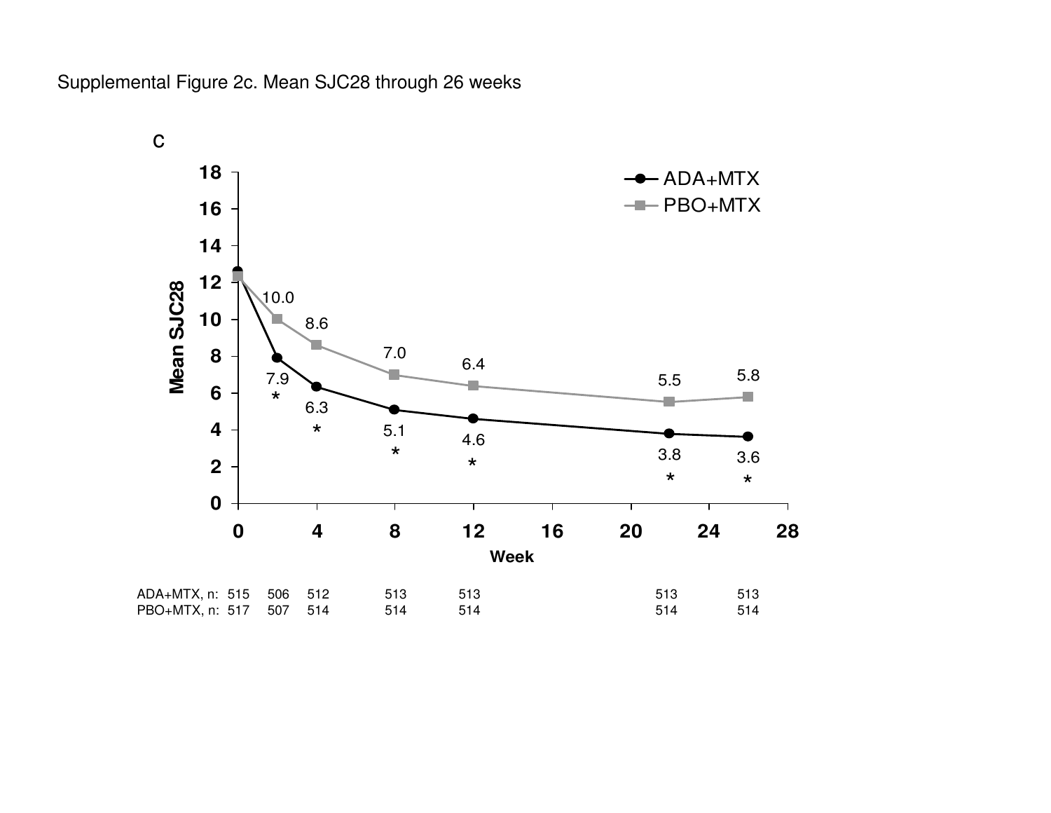# Supplemental Figure 2c. Mean SJC28 through 26 weeks

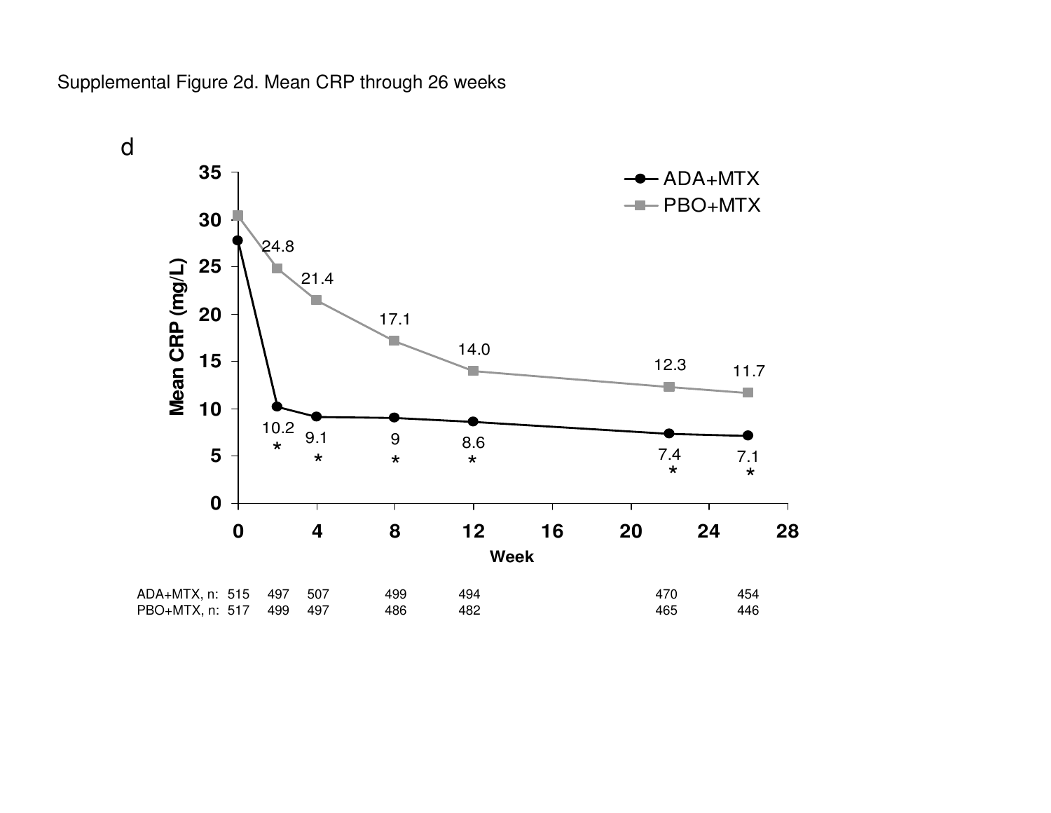# Supplemental Figure 2d. Mean CRP through 26 weeks

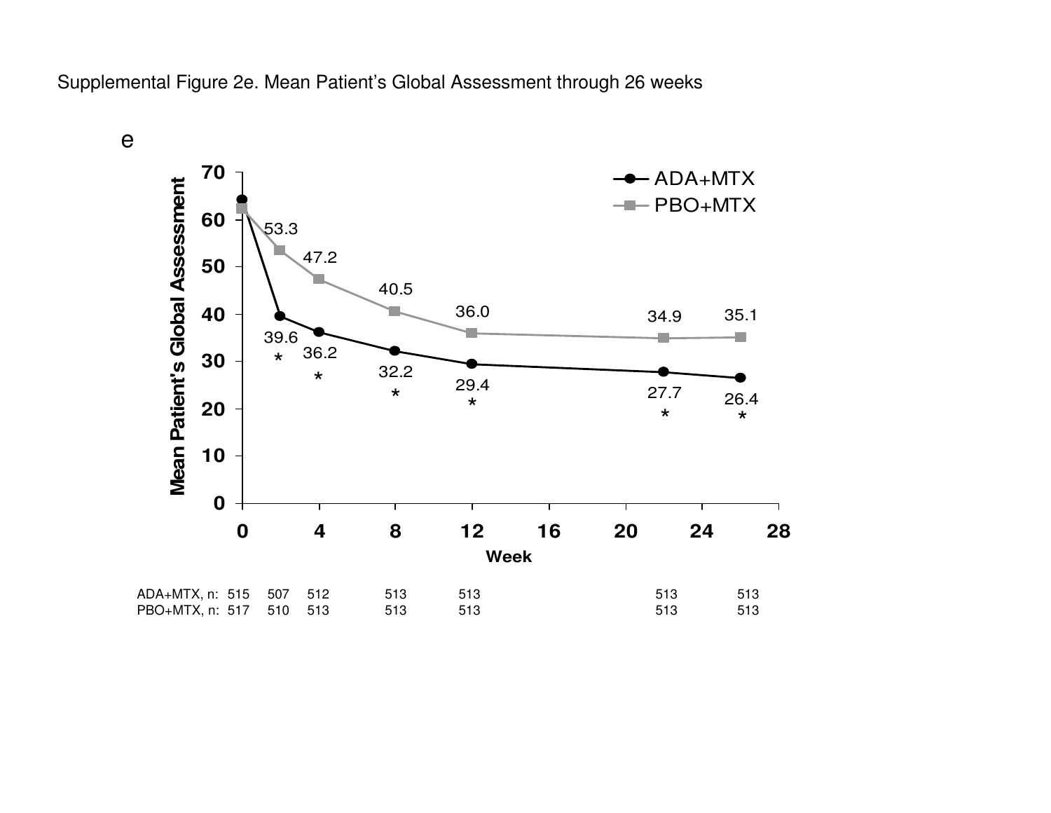Supplemental Figure 2e. Mean Patient's Global Assessment through 26 weeks